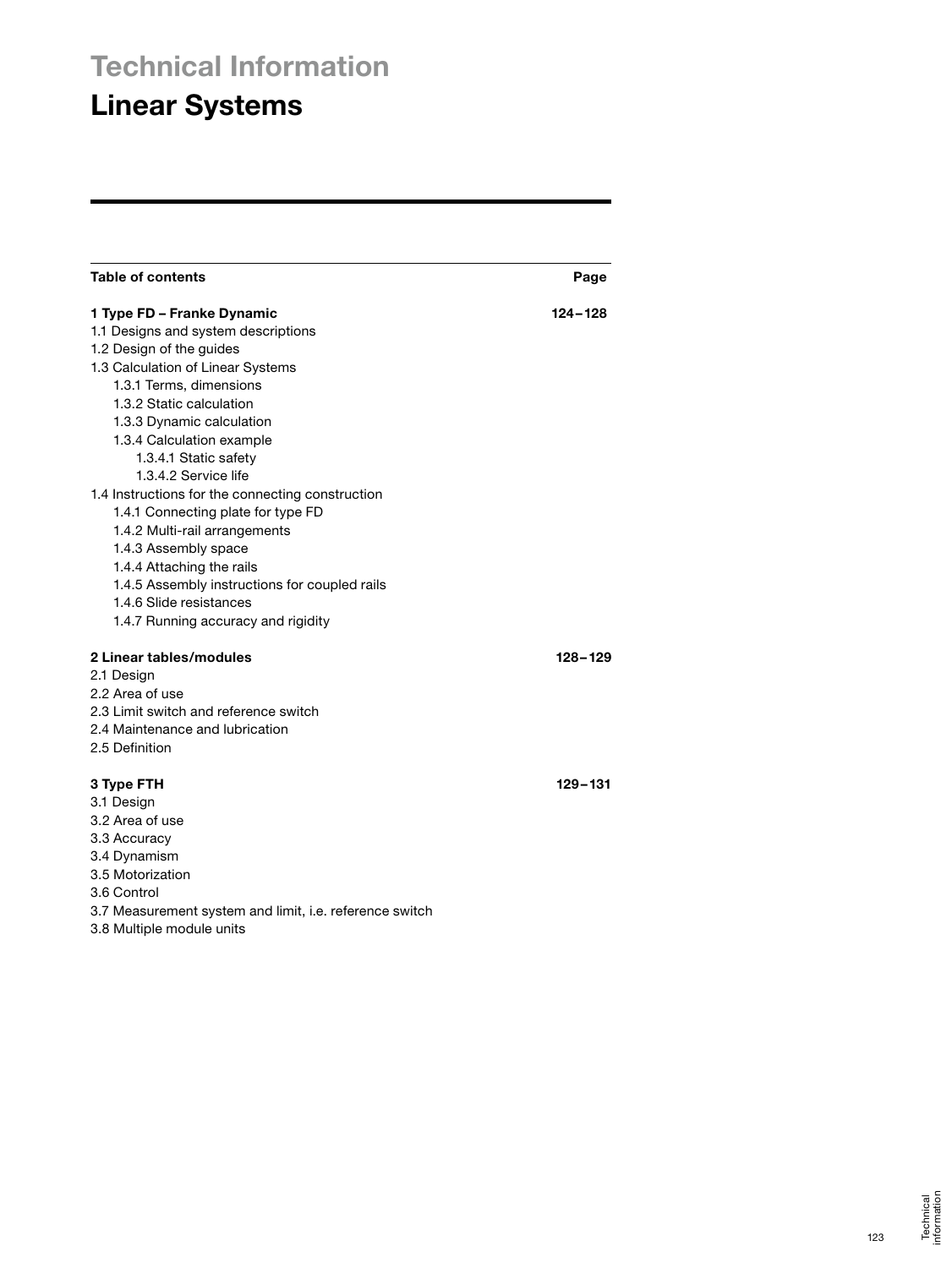### **Technical Information**

# **Linear Systems**

| Table of contents                                       | Page        |
|---------------------------------------------------------|-------------|
| 1 Type FD - Franke Dynamic                              | $124 - 128$ |
| 1.1 Designs and system descriptions                     |             |
| 1.2 Design of the guides                                |             |
| 1.3 Calculation of Linear Systems                       |             |
| 1.3.1 Terms, dimensions                                 |             |
| 1.3.2 Static calculation                                |             |
| 1.3.3 Dynamic calculation                               |             |
| 1.3.4 Calculation example                               |             |
| 1.3.4.1 Static safety                                   |             |
| 1.3.4.2 Service life                                    |             |
| 1.4 Instructions for the connecting construction        |             |
| 1.4.1 Connecting plate for type FD                      |             |
| 1.4.2 Multi-rail arrangements                           |             |
| 1.4.3 Assembly space                                    |             |
| 1.4.4 Attaching the rails                               |             |
| 1.4.5 Assembly instructions for coupled rails           |             |
| 1.4.6 Slide resistances                                 |             |
| 1.4.7 Running accuracy and rigidity                     |             |
| 2 Linear tables/modules                                 | 128-129     |
| 2.1 Design                                              |             |
| 2.2 Area of use                                         |             |
| 2.3 Limit switch and reference switch                   |             |
| 2.4 Maintenance and lubrication                         |             |
| 2.5 Definition                                          |             |
| 3 Type FTH                                              | 129-131     |
| 3.1 Design                                              |             |
| 3.2 Area of use                                         |             |
| 3.3 Accuracy                                            |             |
| 3.4 Dynamism                                            |             |
| 3.5 Motorization                                        |             |
| 3.6 Control                                             |             |
| 3.7 Measurement system and limit, i.e. reference switch |             |
| 3.8 Multiple module units                               |             |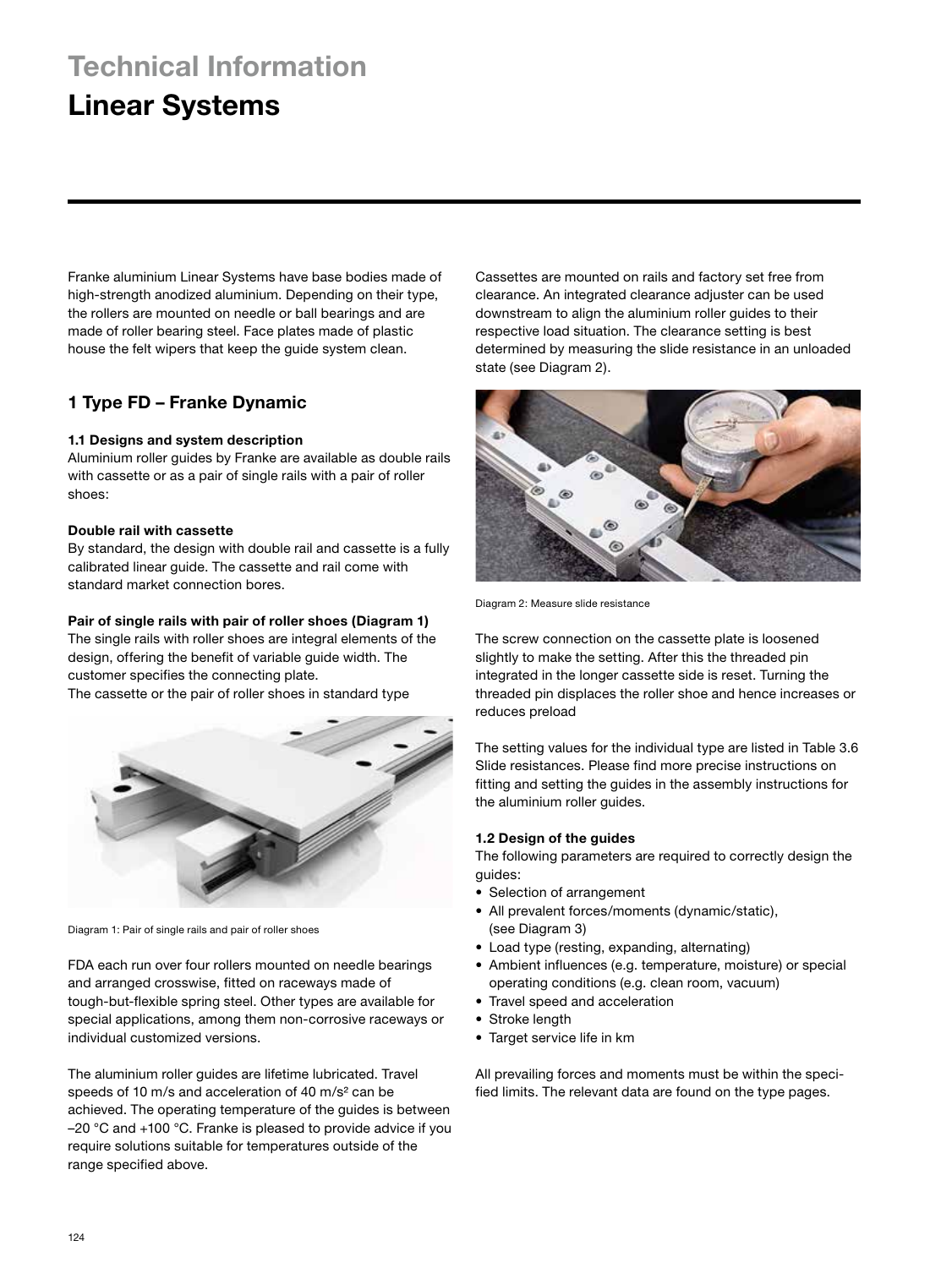### **Technical Information Linear Systems**

Franke aluminium Linear Systems have base bodies made of high-strength anodized aluminium. Depending on their type, the rollers are mounted on needle or ball bearings and are made of roller bearing steel. Face plates made of plastic house the felt wipers that keep the guide system clean.

### **1 Type FD – Franke Dynamic**

#### **1.1 Designs and system description**

Aluminium roller guides by Franke are available as double rails with cassette or as a pair of single rails with a pair of roller shoes:

#### **Double rail with cassette**

By standard, the design with double rail and cassette is a fully calibrated linear guide. The cassette and rail come with standard market connection bores.

#### **Pair of single rails with pair of roller shoes (Diagram 1)**

The single rails with roller shoes are integral elements of the design, offering the benefit of variable guide width. The customer specifies the connecting plate.

The cassette or the pair of roller shoes in standard type



Diagram 1: Pair of single rails and pair of roller shoes

FDA each run over four rollers mounted on needle bearings and arranged crosswise, fitted on raceways made of tough-but-flexible spring steel. Other types are available for special applications, among them non-corrosive raceways or individual customized versions.

The aluminium roller guides are lifetime lubricated. Travel speeds of 10 m/s and acceleration of 40 m/s² can be achieved. The operating temperature of the guides is between –20 °C and +100 °C. Franke is pleased to provide advice if you require solutions suitable for temperatures outside of the range specified above.

Cassettes are mounted on rails and factory set free from clearance. An integrated clearance adjuster can be used downstream to align the aluminium roller guides to their respective load situation. The clearance setting is best determined by measuring the slide resistance in an unloaded state (see Diagram 2).



Diagram 2: Measure slide resistance

The screw connection on the cassette plate is loosened slightly to make the setting. After this the threaded pin integrated in the longer cassette side is reset. Turning the threaded pin displaces the roller shoe and hence increases or reduces preload

The setting values for the individual type are listed in Table 3.6 Slide resistances. Please find more precise instructions on fitting and setting the guides in the assembly instructions for the aluminium roller guides.

#### **1.2 Design of the guides**

The following parameters are required to correctly design the guides:

- Selection of arrangement
- All prevalent forces/moments (dynamic/static), (see Diagram 3)
- Load type (resting, expanding, alternating)
- Ambient influences (e.g. temperature, moisture) or special operating conditions (e.g. clean room, vacuum)
- Travel speed and acceleration
- Stroke length
- Target service life in km

All prevailing forces and moments must be within the specified limits. The relevant data are found on the type pages.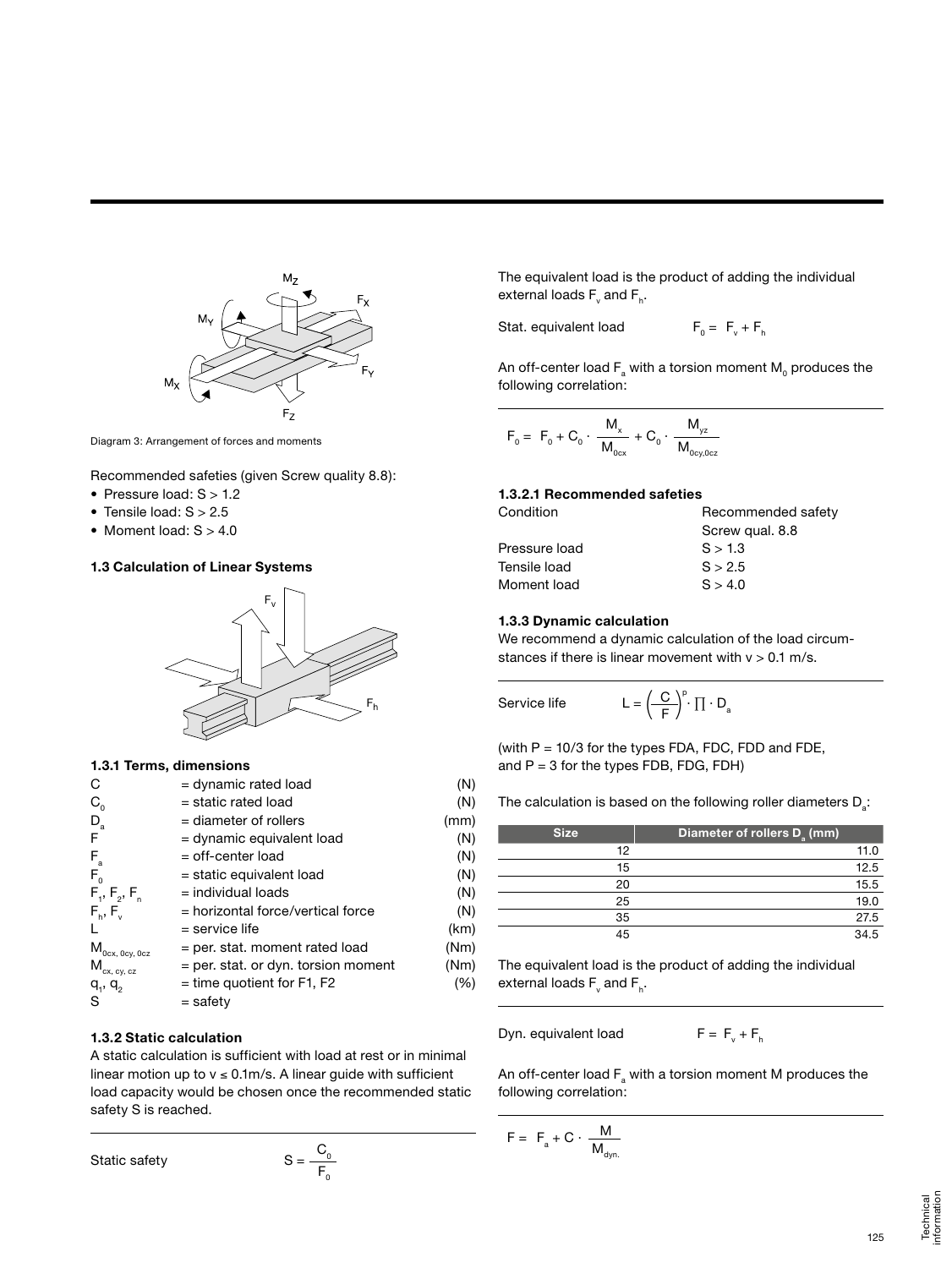

Diagram 3: Arrangement of forces and moments

Recommended safeties (given Screw quality 8.8):

- Pressure load: S > 1.2
- Tensile load:  $S > 2.5$
- Moment load:  $S > 4.0$

#### **1.3 Calculation of Linear Systems**



#### **1.3.1 Terms, dimensions**

| C                       | $=$ dynamic rated load                   | (N)  |
|-------------------------|------------------------------------------|------|
| $C_{0}$                 | $=$ static rated load                    | (N)  |
| $D_a$                   | $=$ diameter of rollers                  | (mm) |
| F                       | = dynamic equivalent load                | (N)  |
| $F_a$                   | $=$ off-center load                      | (N)  |
| $F_{0}$                 | $=$ static equivalent load               | (N)  |
| $F_1, F_2, F_n$         | $=$ individual loads                     | (N)  |
| $F_{h}$ , $F_{v}$       | = horizontal force/vertical force        | (N)  |
|                         | $=$ service life                         | (km) |
| $M_{_{0cx,~0cy,~0cz}}$  | = per. stat. moment rated load           | (Nm) |
| $M_{\text{cx, cy, cz}}$ | = per. stat. or dyn. torsion moment      | (Nm) |
| $q_1, q_2$<br>S         | $=$ time quotient for F1, F2<br>= safety | (%)  |
|                         |                                          |      |

#### **1.3.2 Static calculation**

A static calculation is sufficient with load at rest or in minimal linear motion up to  $v \le 0.1$ m/s. A linear guide with sufficient load capacity would be chosen once the recommended static safety S is reached.

$$
Static safety \tS =
$$

$$
S = \frac{C_0}{F_0}
$$

The equivalent load is the product of adding the individual external loads  $F_v$  and  $F_h$ .

Stat. equivalent load

$$
F_0 = F_v + F_h
$$

An off-center load  $\mathsf{F}_{\!_{\rm a}}$  with a torsion moment  $\mathsf{M}_{\!_{\rm 0}}$  produces the following correlation:

$$
F_{_0} = F_{_0} + C_{_0} \cdot \; \frac{M_{_x}}{M_{_{0cx}}} + C_{_0} \cdot \; \frac{M_{_{yz}}}{M_{_{0cy,0cz}}}
$$

#### **1.3.2.1 Recommended safeties**

| Condition     | Recommended safety |
|---------------|--------------------|
|               | Screw qual. 8.8    |
| Pressure load | S > 1.3            |
| Tensile load  | S > 2.5            |
| Moment load   | S > 4.0            |

#### **1.3.3 Dynamic calculation**

We recommend a dynamic calculation of the load circumstances if there is linear movement with  $v > 0.1$  m/s.

Service life  $L = ($ 

$$
\left(\frac{C}{F}\right)^p \cdot \prod \cdot D_a
$$

(with  $P = 10/3$  for the types FDA, FDC, FDD and FDE, and  $P = 3$  for the types FDB, FDG, FDH)

The calculation is based on the following roller diameters  $D_{a}$ :

| <b>Size</b> | Diameter of rollers D <sub>2</sub> (mm) |
|-------------|-----------------------------------------|
| 12          | 11.0                                    |
| 15          | 12.5                                    |
| 20          | 15.5                                    |
| 25          | 19.0                                    |
| 35          | 27.5                                    |
| 45          | 34.5                                    |

The equivalent load is the product of adding the individual external loads  $F_v$  and  $F_h$ .

Dyn. equivalent load

 $F = F_v + F_h$ 

An off-center load  $\mathsf{F}_{_{\mathsf{a}}}$  with a torsion moment M produces the following correlation:

$$
F = F_{a} + C \cdot \frac{M}{M_{dyn.}}
$$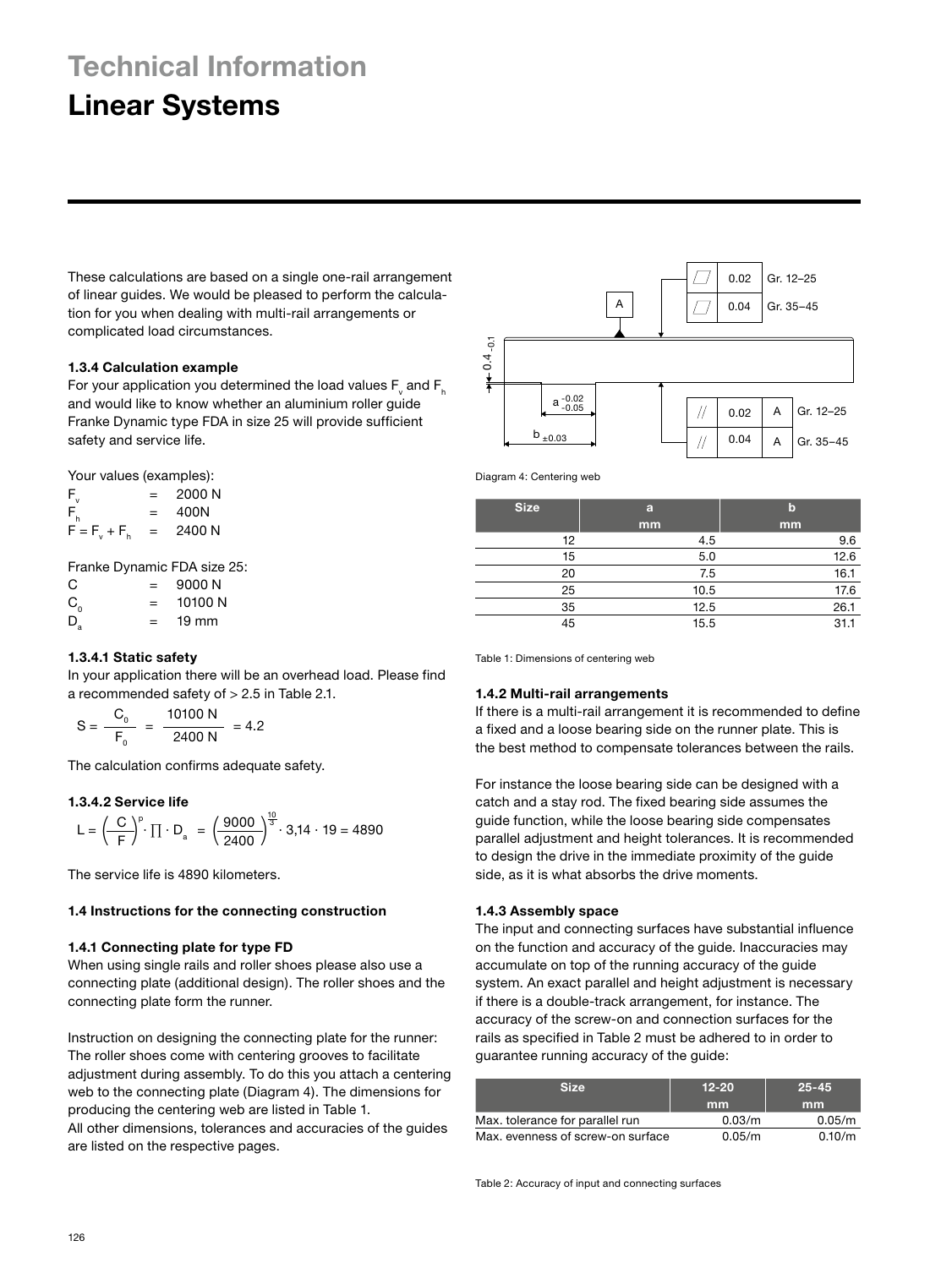## **Technical Information**

### **Linear Systems**

These calculations are based on a single one-rail arrangement of linear guides. We would be pleased to perform the calculation for you when dealing with multi-rail arrangements or complicated load circumstances.

#### **1.3.4 Calculation example**

For your application you determined the load values  $\mathsf{F}_{_\mathsf{v}}$  and  $\mathsf{F}_{_\mathsf{h}}$ and would like to know whether an aluminium roller guide Franke Dynamic type FDA in size 25 will provide sufficient safety and service life.

Your values (examples):

 $F_v = 2000 \text{ N}$ <br> $F_e = 400 \text{ N}$  $= 400N$ <br> $= 2400$  $F = F_v + F_h$ 2400 N

Franke Dynamic FDA size 25:

| C       | $=$ | 9000 N          |
|---------|-----|-----------------|
| $C_{0}$ | =   | 10100 N         |
| D       | =   | $19 \text{ mm}$ |

#### **1.3.4.1 Static safety**

In your application there will be an overhead load. Please find a recommended safety of > 2.5 in Table 2.1.

$$
S = \frac{C_0}{F_0} = \frac{10100 \text{ N}}{2400 \text{ N}} = 4.2
$$

The calculation confirms adequate safety.

#### **1.3.4.2 Service life**

$$
L = \left(\frac{C}{F}\right)^p \cdot \prod \cdot D_{a} = \left(\frac{9000}{2400}\right)^{\frac{10}{3}} \cdot 3,14 \cdot 19 = 4890
$$

The service life is 4890 kilometers.

#### **1.4 Instructions for the connecting construction**

#### **1.4.1 Connecting plate for type FD**

When using single rails and roller shoes please also use a connecting plate (additional design). The roller shoes and the connecting plate form the runner.

Instruction on designing the connecting plate for the runner: The roller shoes come with centering grooves to facilitate adjustment during assembly. To do this you attach a centering web to the connecting plate (Diagram 4). The dimensions for producing the centering web are listed in Table 1. All other dimensions, tolerances and accuracies of the guides are listed on the respective pages.



Diagram 4: Centering web

| <b>Size</b> | a    | $\mathbf b$ |
|-------------|------|-------------|
|             | mm   | mm          |
| 12          | 4.5  | 9.6         |
| 15          | 5.0  | 12.6        |
| 20          | 7.5  | 16.1        |
| 25          | 10.5 | 17.6        |
| 35          | 12.5 | 26.1        |
| 45          | 15.5 | 31.1        |

Table 1: Dimensions of centering web

#### **1.4.2 Multi-rail arrangements**

If there is a multi-rail arrangement it is recommended to define a fixed and a loose bearing side on the runner plate. This is the best method to compensate tolerances between the rails.

For instance the loose bearing side can be designed with a catch and a stay rod. The fixed bearing side assumes the guide function, while the loose bearing side compensates parallel adjustment and height tolerances. It is recommended to design the drive in the immediate proximity of the guide side, as it is what absorbs the drive moments.

#### **1.4.3 Assembly space**

The input and connecting surfaces have substantial influence on the function and accuracy of the guide. Inaccuracies may accumulate on top of the running accuracy of the guide system. An exact parallel and height adjustment is necessary if there is a double-track arrangement, for instance. The accuracy of the screw-on and connection surfaces for the rails as specified in Table 2 must be adhered to in order to guarantee running accuracy of the guide:

| <b>Size</b>                       | $12 - 20$ | $25 - 45$ |  |
|-----------------------------------|-----------|-----------|--|
|                                   | mm        | mm        |  |
| Max. tolerance for parallel run   | 0.03/m    | 0.05/m    |  |
| Max, evenness of screw-on surface | 0.05/m    | 0.10/m    |  |

Table 2: Accuracy of input and connecting surfaces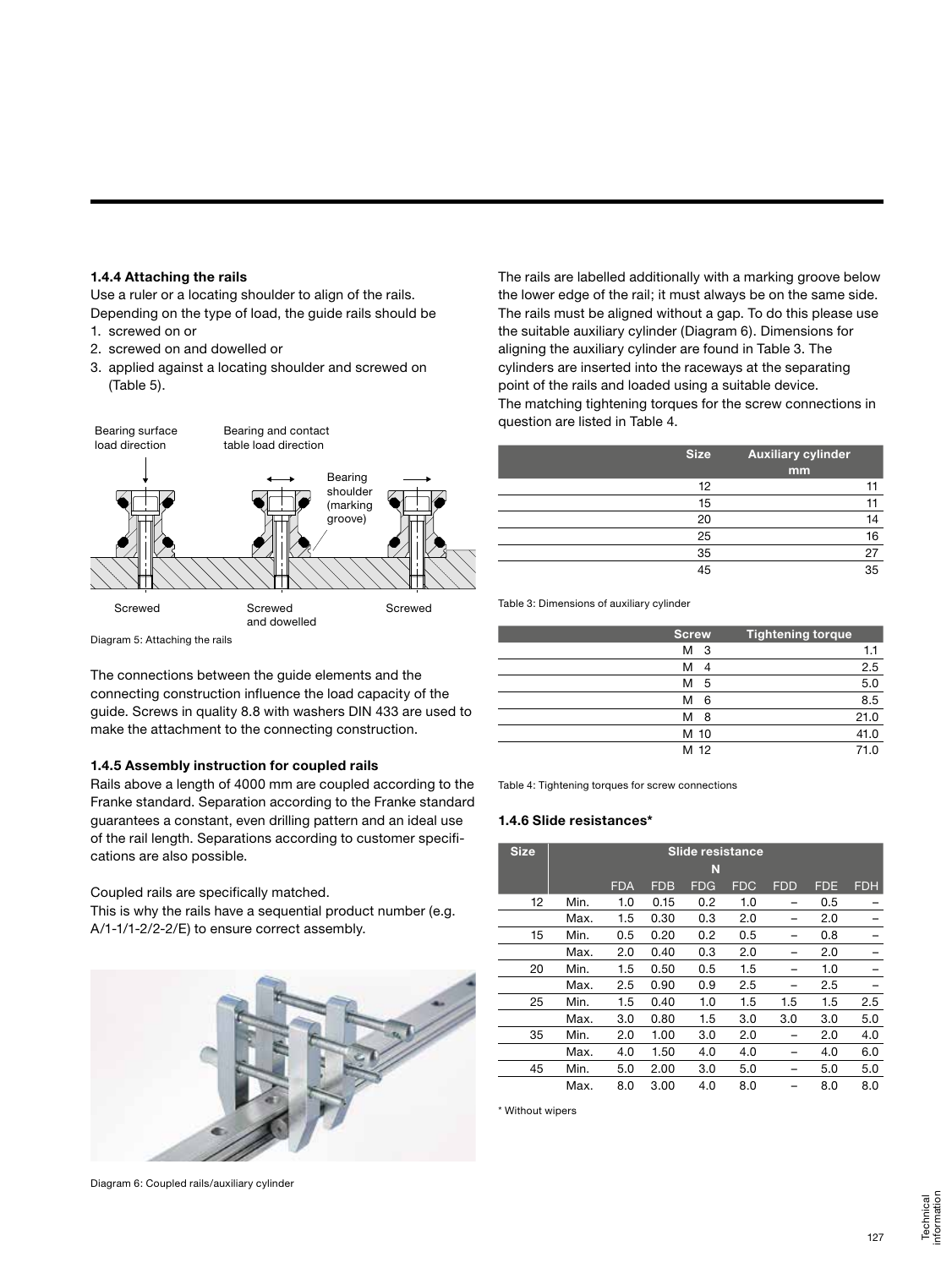#### **1.4.4 Attaching the rails**

Use a ruler or a locating shoulder to align of the rails. Depending on the type of load, the guide rails should be 1. screwed on or

- 
- 2. screwed on and dowelled or
- 3. applied against a locating shoulder and screwed on (Table 5).



Diagram 5: Attaching the rails

The connections between the guide elements and the connecting construction influence the load capacity of the guide. Screws in quality 8.8 with washers DIN 433 are used to make the attachment to the connecting construction.

#### **1.4.5 Assembly instruction for coupled rails**

Rails above a length of 4000 mm are coupled according to the Franke standard. Separation according to the Franke standard guarantees a constant, even drilling pattern and an ideal use of the rail length. Separations according to customer specifications are also possible.

Coupled rails are specifically matched.

This is why the rails have a sequential product number (e.g. A/1-1/1-2/2-2/E) to ensure correct assembly.



The rails are labelled additionally with a marking groove below the lower edge of the rail; it must always be on the same side. The rails must be aligned without a gap. To do this please use the suitable auxiliary cylinder (Diagram 6). Dimensions for aligning the auxiliary cylinder are found in Table 3. The cylinders are inserted into the raceways at the separating point of the rails and loaded using a suitable device. The matching tightening torques for the screw connections in question are listed in Table 4.

| <b>Size</b> | <b>Auxiliary cylinder</b> |
|-------------|---------------------------|
|             | mm                        |
| 12          |                           |
| 15          |                           |
| 20          | 14                        |
| 25          | 16                        |
| 35          | 27                        |
| 45          | 35                        |

Table 3: Dimensions of auxiliary cylinder

| <b>Screw</b> | <b>Tightening torque</b> |
|--------------|--------------------------|
| м<br>- 3     |                          |
| М            | 2.5<br>4                 |
| м            | 5.0<br>- 5               |
| М            | 8.5<br>6                 |
| М            | 21.0<br>8                |
| M 10         | 41.0                     |
| M 12         | 71.0                     |

Table 4: Tightening torques for screw connections

#### **1.4.6 Slide resistances\***

| <b>Size</b> | Slide resistance |            |            |            |            |            |            |            |
|-------------|------------------|------------|------------|------------|------------|------------|------------|------------|
|             | N                |            |            |            |            |            |            |            |
|             |                  | <b>FDA</b> | <b>FDB</b> | <b>FDG</b> | <b>FDC</b> | <b>FDD</b> | <b>FDE</b> | <b>FDH</b> |
| 12          | Min.             | 1.0        | 0.15       | 0.2        | 1.0        |            | 0.5        |            |
|             | Max.             | 1.5        | 0.30       | 0.3        | 2.0        |            | 2.0        |            |
| 15          | Min.             | 0.5        | 0.20       | 0.2        | 0.5        |            | 0.8        |            |
|             | Max.             | 2.0        | 0.40       | 0.3        | 2.0        |            | 2.0        |            |
| 20          | Min.             | 1.5        | 0.50       | 0.5        | 1.5        |            | 1.0        |            |
|             | Max.             | 2.5        | 0.90       | 0.9        | 2.5        |            | 2.5        |            |
| 25          | Min.             | 1.5        | 0.40       | 1.0        | 1.5        | 1.5        | 1.5        | 2.5        |
|             | Max.             | 3.0        | 0.80       | 1.5        | 3.0        | 3.0        | 3.0        | 5.0        |
| 35          | Min.             | 2.0        | 1.00       | 3.0        | 2.0        |            | 2.0        | 4.0        |
|             | Max.             | 4.0        | 1.50       | 4.0        | 4.0        |            | 4.0        | 6.0        |
| 45          | Min.             | 5.0        | 2.00       | 3.0        | 5.0        |            | 5.0        | 5.0        |
|             | Max.             | 8.0        | 3.00       | 4.0        | 8.0        |            | 8.0        | 8.0        |

\* Without wipers

Diagram 6: Coupled rails/auxiliary cylinder

127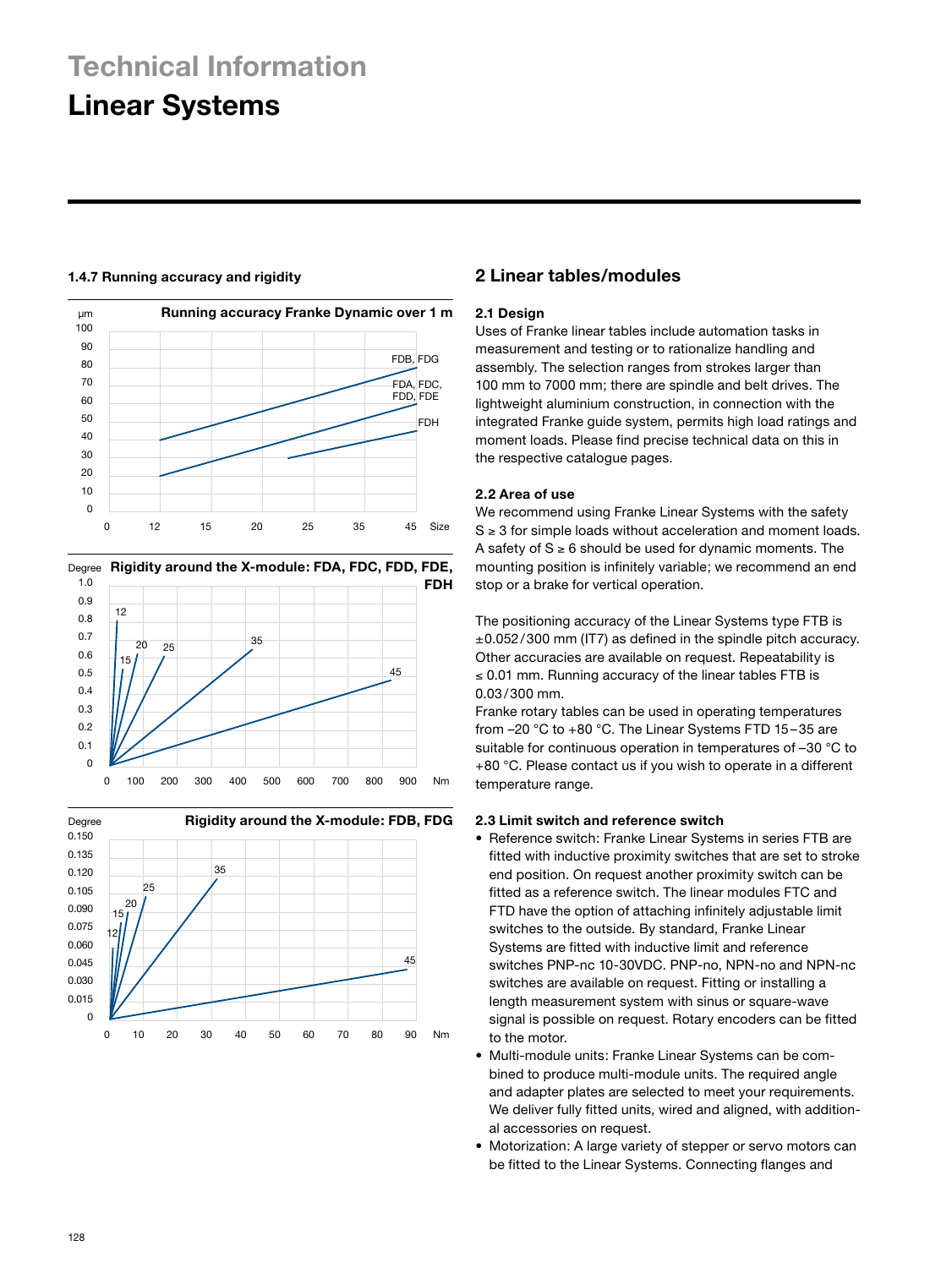





#### **1.4.7 Running accuracy and rigidity 2 Linear tables/modules**

#### **2.1 Design**

Uses of Franke linear tables include automation tasks in measurement and testing or to rationalize handling and assembly. The selection ranges from strokes larger than 100 mm to 7000 mm; there are spindle and belt drives. The lightweight aluminium construction, in connection with the integrated Franke guide system, permits high load ratings and moment loads. Please find precise technical data on this in the respective catalogue pages.

#### **2.2 Area of use**

We recommend using Franke Linear Systems with the safety  $S \geq 3$  for simple loads without acceleration and moment loads. A safety of  $S \ge 6$  should be used for dynamic moments. The mounting position is infinitely variable; we recommend an end stop or a brake for vertical operation.

The positioning accuracy of the Linear Systems type FTB is ±0.052/300 mm (IT7) as defined in the spindle pitch accuracy. Other accuracies are available on request. Repeatability is ≤ 0.01 mm. Running accuracy of the linear tables FTB is 0.03/300 mm.

Franke rotary tables can be used in operating temperatures from –20 °C to +80 °C. The Linear Systems FTD 15–35 are suitable for continuous operation in temperatures of –30 °C to +80 °C. Please contact us if you wish to operate in a different temperature range.

#### **2.3 Limit switch and reference switch**

- Reference switch: Franke Linear Systems in series FTB are fitted with inductive proximity switches that are set to stroke end position. On request another proximity switch can be fitted as a reference switch. The linear modules FTC and FTD have the option of attaching infinitely adjustable limit switches to the outside. By standard, Franke Linear Systems are fitted with inductive limit and reference switches PNP-nc 10-30VDC. PNP-no, NPN-no and NPN-nc switches are available on request. Fitting or installing a length measurement system with sinus or square-wave signal is possible on request. Rotary encoders can be fitted to the motor.
- Multi-module units: Franke Linear Systems can be combined to produce multi-module units. The required angle and adapter plates are selected to meet your requirements. We deliver fully fitted units, wired and aligned, with additional accessories on request.
- Motorization: A large variety of stepper or servo motors can be fitted to the Linear Systems. Connecting flanges and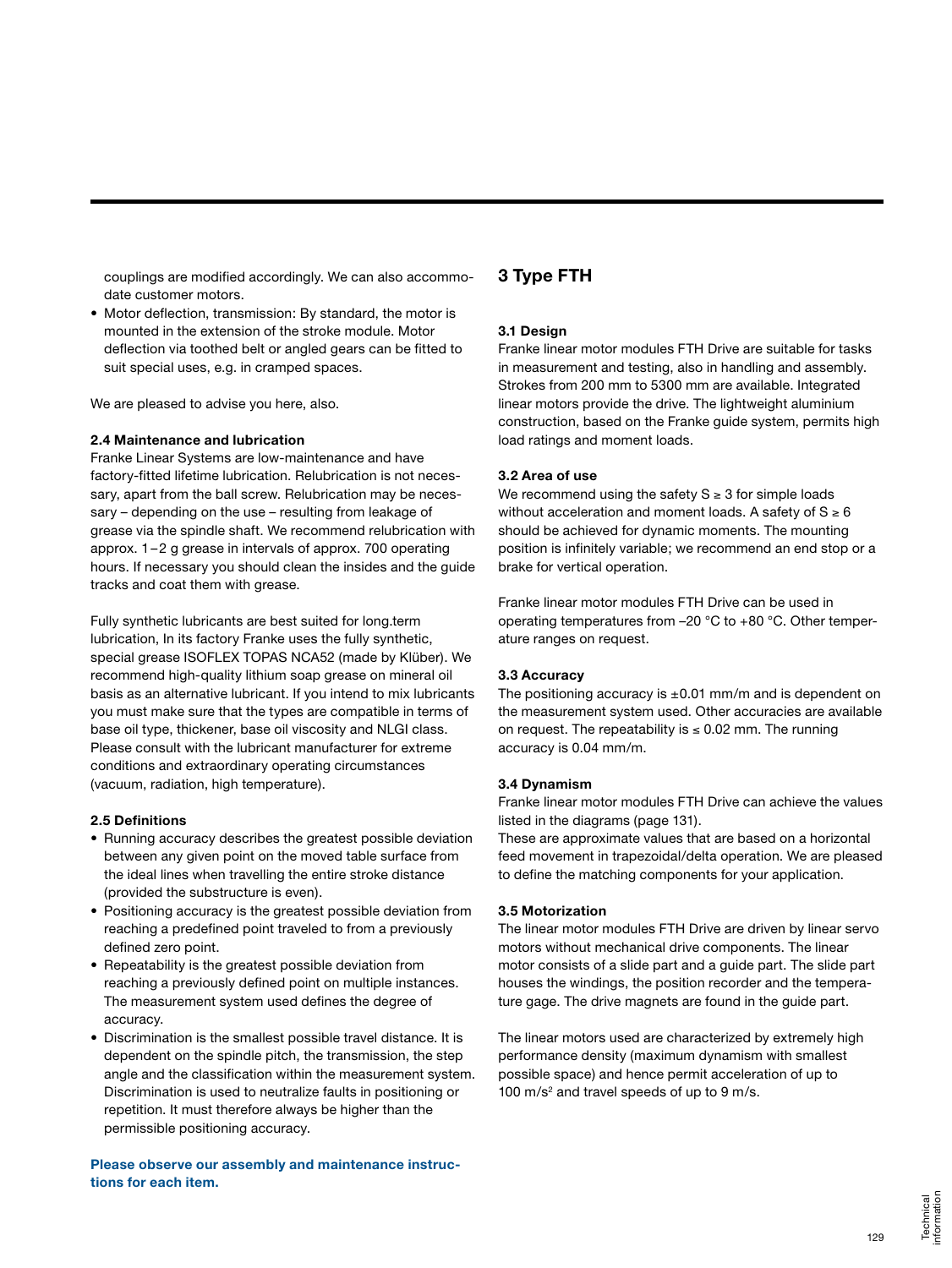couplings are modified accordingly. We can also accommodate customer motors.

• Motor deflection, transmission: By standard, the motor is mounted in the extension of the stroke module. Motor deflection via toothed belt or angled gears can be fitted to suit special uses, e.g. in cramped spaces.

We are pleased to advise you here, also.

#### **2.4 Maintenance and lubrication**

Franke Linear Systems are low-maintenance and have factory-fitted lifetime lubrication. Relubrication is not necessary, apart from the ball screw. Relubrication may be necessary – depending on the use – resulting from leakage of grease via the spindle shaft. We recommend relubrication with approx. 1–2 g grease in intervals of approx. 700 operating hours. If necessary you should clean the insides and the guide tracks and coat them with grease.

Fully synthetic lubricants are best suited for long.term lubrication, In its factory Franke uses the fully synthetic, special grease ISOFLEX TOPAS NCA52 (made by Klüber). We recommend high-quality lithium soap grease on mineral oil basis as an alternative lubricant. If you intend to mix lubricants you must make sure that the types are compatible in terms of base oil type, thickener, base oil viscosity and NLGI class. Please consult with the lubricant manufacturer for extreme conditions and extraordinary operating circumstances (vacuum, radiation, high temperature).

#### **2.5 Definitions**

- Running accuracy describes the greatest possible deviation between any given point on the moved table surface from the ideal lines when travelling the entire stroke distance (provided the substructure is even).
- Positioning accuracy is the greatest possible deviation from reaching a predefined point traveled to from a previously defined zero point.
- Repeatability is the greatest possible deviation from reaching a previously defined point on multiple instances. The measurement system used defines the degree of accuracy.
- Discrimination is the smallest possible travel distance. It is dependent on the spindle pitch, the transmission, the step angle and the classification within the measurement system. Discrimination is used to neutralize faults in positioning or repetition. It must therefore always be higher than the permissible positioning accuracy.

**Please observe our assembly and maintenance instructions for each item.**

#### **3 Type FTH**

#### **3.1 Design**

Franke linear motor modules FTH Drive are suitable for tasks in measurement and testing, also in handling and assembly. Strokes from 200 mm to 5300 mm are available. Integrated linear motors provide the drive. The lightweight aluminium construction, based on the Franke guide system, permits high load ratings and moment loads.

#### **3.2 Area of use**

We recommend using the safety  $S \geq 3$  for simple loads without acceleration and moment loads. A safety of  $S \ge 6$ should be achieved for dynamic moments. The mounting position is infinitely variable; we recommend an end stop or a brake for vertical operation.

Franke linear motor modules FTH Drive can be used in operating temperatures from –20 °C to +80 °C. Other temperature ranges on request.

#### **3.3 Accuracy**

The positioning accuracy is  $\pm 0.01$  mm/m and is dependent on the measurement system used. Other accuracies are available on request. The repeatability is  $\leq 0.02$  mm. The running accuracy is 0.04 mm/m.

#### **3.4 Dynamism**

Franke linear motor modules FTH Drive can achieve the values listed in the diagrams (page 131).

These are approximate values that are based on a horizontal feed movement in trapezoidal/delta operation. We are pleased to define the matching components for your application.

#### **3.5 Motorization**

The linear motor modules FTH Drive are driven by linear servo motors without mechanical drive components. The linear motor consists of a slide part and a guide part. The slide part houses the windings, the position recorder and the temperature gage. The drive magnets are found in the guide part.

The linear motors used are characterized by extremely high performance density (maximum dynamism with smallest possible space) and hence permit acceleration of up to 100 m/s<sup>2</sup> and travel speeds of up to 9 m/s.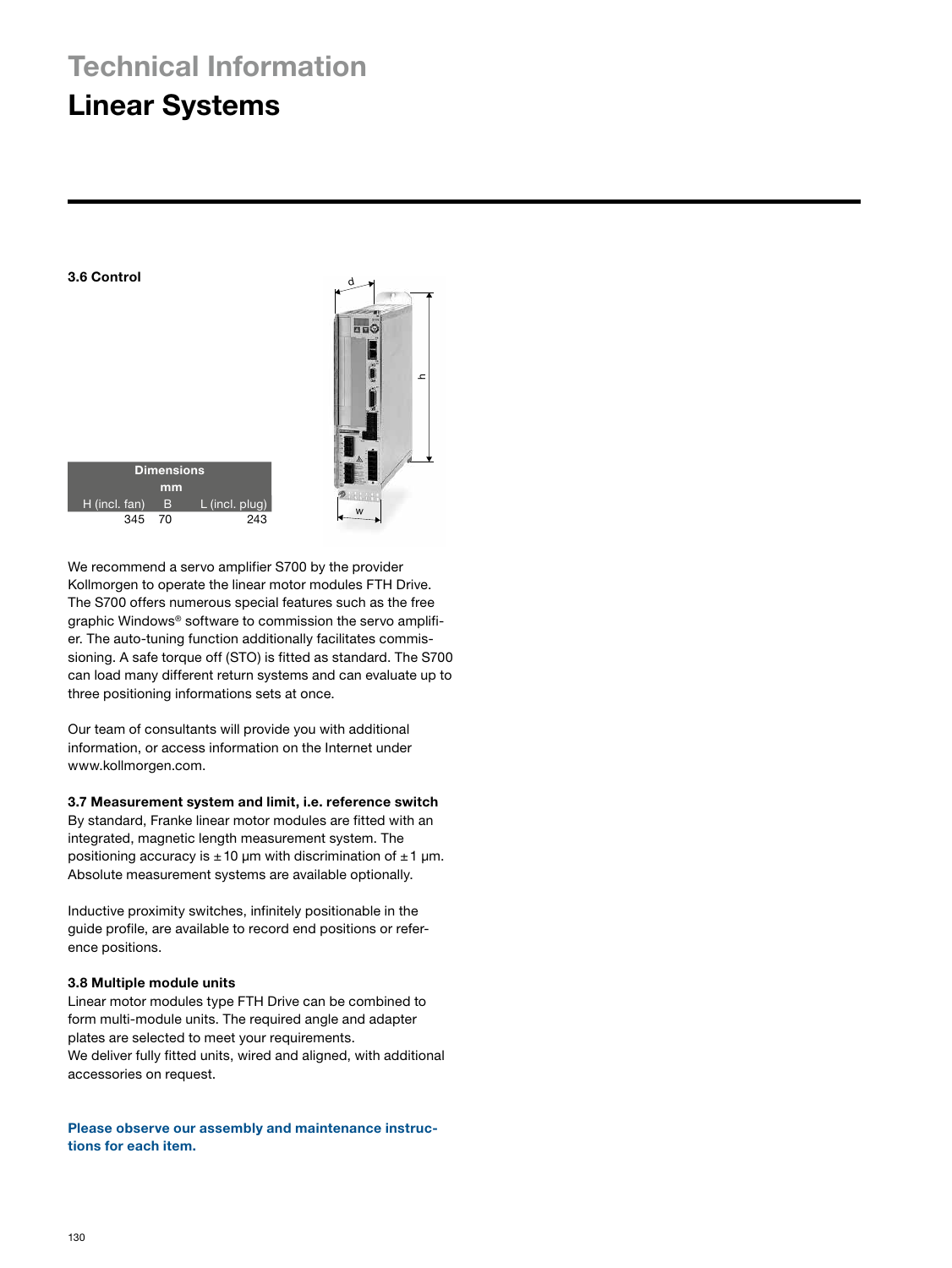# **Technical Information**

### **Linear Systems**

**Dimensions mm** H (incl. fan) B L (incl. plug) 345 70 243

**3.6 Control**



We recommend a servo amplifier S700 by the provider Kollmorgen to operate the linear motor modules FTH Drive. The S700 offers numerous special features such as the free graphic Windows® software to commission the servo amplifier. The auto-tuning function additionally facilitates commissioning. A safe torque off (STO) is fitted as standard. The S700 can load many different return systems and can evaluate up to three positioning informations sets at once.

Our team of consultants will provide you with additional information, or access information on the Internet under www.kollmorgen.com.

#### **3.7 Measurement system and limit, i.e. reference switch**

By standard, Franke linear motor modules are fitted with an integrated, magnetic length measurement system. The positioning accuracy is  $\pm 10$  µm with discrimination of  $\pm 1$  µm. Absolute measurement systems are available optionally.

Inductive proximity switches, infinitely positionable in the guide profile, are available to record end positions or reference positions.

#### **3.8 Multiple module units**

Linear motor modules type FTH Drive can be combined to form multi-module units. The required angle and adapter plates are selected to meet your requirements. We deliver fully fitted units, wired and aligned, with additional accessories on request.

**Please observe our assembly and maintenance instructions for each item.**